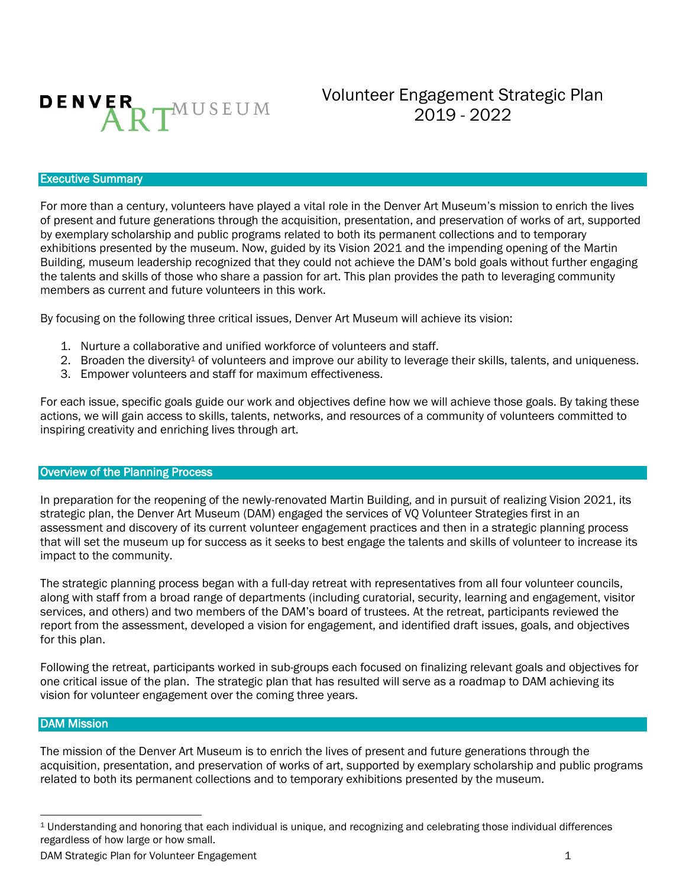

Volunteer Engagement Strategic Plan 2019 - 2022

### Executive Summary

For more than a century, volunteers have played a vital role in the Denver Art Museum's mission to enrich the lives of present and future generations through the acquisition, presentation, and preservation of works of art, supported by exemplary scholarship and public programs related to both its permanent collections and to temporary exhibitions presented by the museum. Now, guided by its Vision 2021 and the impending opening of the Martin Building, museum leadership recognized that they could not achieve the DAM's bold goals without further engaging the talents and skills of those who share a passion for art. This plan provides the path to leveraging community members as current and future volunteers in this work.

By focusing on the following three critical issues, Denver Art Museum will achieve its vision:

- 1. Nurture a collaborative and unified workforce of volunteers and staff.
- 2. Broaden the diversity<sup>1</sup> of volunteers and improve our ability to leverage their skills, talents, and uniqueness.
- 3. Empower volunteers and staff for maximum effectiveness.

For each issue, specific goals guide our work and objectives define how we will achieve those goals. By taking these actions, we will gain access to skills, talents, networks, and resources of a community of volunteers committed to inspiring creativity and enriching lives through art.

#### Overview of the Planning Process

In preparation for the reopening of the newly-renovated Martin Building, and in pursuit of realizing Vision 2021, its strategic plan, the Denver Art Museum (DAM) engaged the services of VQ Volunteer Strategies first in an assessment and discovery of its current volunteer engagement practices and then in a strategic planning process that will set the museum up for success as it seeks to best engage the talents and skills of volunteer to increase its impact to the community.

The strategic planning process began with a full-day retreat with representatives from all four volunteer councils, along with staff from a broad range of departments (including curatorial, security, learning and engagement, visitor services, and others) and two members of the DAM's board of trustees. At the retreat, participants reviewed the report from the assessment, developed a vision for engagement, and identified draft issues, goals, and objectives for this plan.

Following the retreat, participants worked in sub-groups each focused on finalizing relevant goals and objectives for one critical issue of the plan. The strategic plan that has resulted will serve as a roadmap to DAM achieving its vision for volunteer engagement over the coming three years.

### DAM Mission

 $\overline{a}$ 

The mission of the Denver Art Museum is to enrich the lives of present and future generations through the acquisition, presentation, and preservation of works of art, supported by exemplary scholarship and public programs related to both its permanent collections and to temporary exhibitions presented by the museum.

<sup>1</sup> Understanding and honoring that each individual is unique, and recognizing and celebrating those individual differences regardless of how large or how small.

DAM Strategic Plan for Volunteer Engagement 1 and 1 and 2 and 2 and 2 and 2 and 2 and 2 and 2 and 2 and 2 and 2 and 2 and 2 and 2 and 2 and 2 and 2 and 2 and 2 and 2 and 2 and 2 and 2 and 2 and 2 and 2 and 2 and 2 and 2 an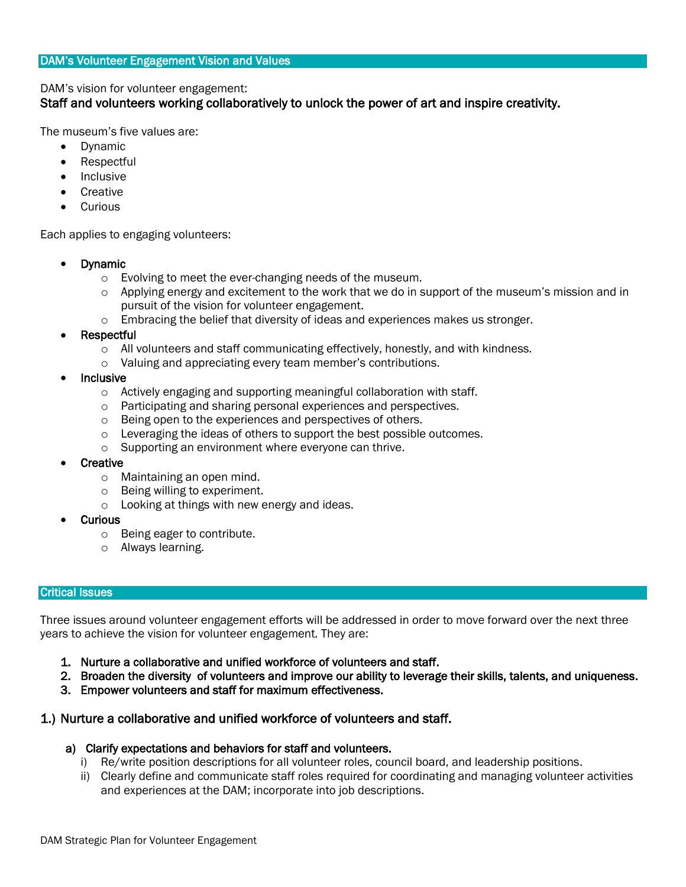DAM's vision for volunteer engagement:

## Staff and volunteers working collaboratively to unlock the power of art and inspire creativity.

The museum's five values are:

- Dynamic
- Respectful
- Inclusive
- **Creative**
- **Curious**

Each applies to engaging volunteers:

- Dynamic
	- o Evolving to meet the ever-changing needs of the museum.
	- $\circ$  Applying energy and excitement to the work that we do in support of the museum's mission and in pursuit of the vision for volunteer engagement.
	- $\circ$  Embracing the belief that diversity of ideas and experiences makes us stronger.
- **Respectful** 
	- $\circ$  All volunteers and staff communicating effectively, honestly, and with kindness.
	- o Valuing and appreciating every team member's contributions.
- Inclusive
	- o Actively engaging and supporting meaningful collaboration with staff.
	- o Participating and sharing personal experiences and perspectives.
	- o Being open to the experiences and perspectives of others.
	- o Leveraging the ideas of others to support the best possible outcomes.
	- o Supporting an environment where everyone can thrive.
- **Creative** 
	- o Maintaining an open mind.
	- o Being willing to experiment.
	- o Looking at things with new energy and ideas.
- Curious
	- o Being eager to contribute.
	- o Always learning.

### Critical Issues

Three issues around volunteer engagement efforts will be addressed in order to move forward over the next three years to achieve the vision for volunteer engagement. They are:

- 1. Nurture a collaborative and unified workforce of volunteers and staff.
- 2. Broaden the diversity of volunteers and improve our ability to leverage their skills, talents, and uniqueness.
- 3. Empower volunteers and staff for maximum effectiveness.

## 1.) Nurture a collaborative and unified workforce of volunteers and staff.

- a) Clarify expectations and behaviors for staff and volunteers.
	- i) Re/write position descriptions for all volunteer roles, council board, and leadership positions.
	- ii) Clearly define and communicate staff roles required for coordinating and managing volunteer activities and experiences at the DAM; incorporate into job descriptions.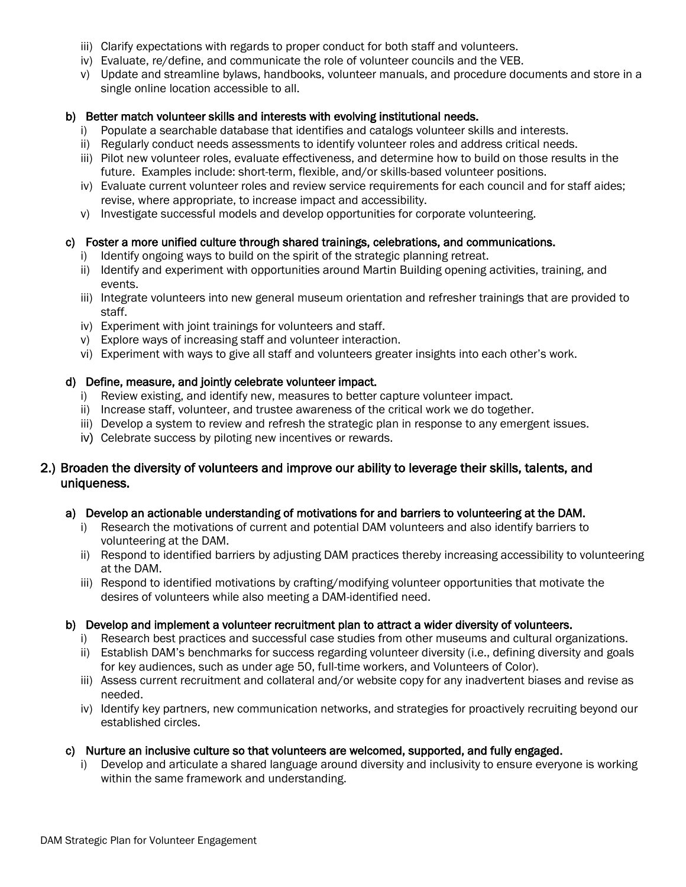- iii) Clarify expectations with regards to proper conduct for both staff and volunteers.
- iv) Evaluate, re/define, and communicate the role of volunteer councils and the VEB.
- v) Update and streamline bylaws, handbooks, volunteer manuals, and procedure documents and store in a single online location accessible to all.

## b) Better match volunteer skills and interests with evolving institutional needs.

- i) Populate a searchable database that identifies and catalogs volunteer skills and interests.
- ii) Regularly conduct needs assessments to identify volunteer roles and address critical needs.
- iii) Pilot new volunteer roles, evaluate effectiveness, and determine how to build on those results in the future. Examples include: short-term, flexible, and/or skills-based volunteer positions.
- iv) Evaluate current volunteer roles and review service requirements for each council and for staff aides; revise, where appropriate, to increase impact and accessibility.
- v) Investigate successful models and develop opportunities for corporate volunteering.

## c) Foster a more unified culture through shared trainings, celebrations, and communications.

- i) Identify ongoing ways to build on the spirit of the strategic planning retreat.
- ii) Identify and experiment with opportunities around Martin Building opening activities, training, and events.
- iii) Integrate volunteers into new general museum orientation and refresher trainings that are provided to staff.
- iv) Experiment with joint trainings for volunteers and staff.
- v) Explore ways of increasing staff and volunteer interaction.
- vi) Experiment with ways to give all staff and volunteers greater insights into each other's work.

## d) Define, measure, and jointly celebrate volunteer impact.

- i) Review existing, and identify new, measures to better capture volunteer impact.
- ii) Increase staff, volunteer, and trustee awareness of the critical work we do together.
- iii) Develop a system to review and refresh the strategic plan in response to any emergent issues.
- iv) Celebrate success by piloting new incentives or rewards.

# 2.) Broaden the diversity of volunteers and improve our ability to leverage their skills, talents, and uniqueness.

## a) Develop an actionable understanding of motivations for and barriers to volunteering at the DAM.

- i) Research the motivations of current and potential DAM volunteers and also identify barriers to volunteering at the DAM.
- ii) Respond to identified barriers by adjusting DAM practices thereby increasing accessibility to volunteering at the DAM.
- iii) Respond to identified motivations by crafting/modifying volunteer opportunities that motivate the desires of volunteers while also meeting a DAM-identified need.

## b) Develop and implement a volunteer recruitment plan to attract a wider diversity of volunteers.

- i) Research best practices and successful case studies from other museums and cultural organizations.
- ii) Establish DAM's benchmarks for success regarding volunteer diversity (i.e., defining diversity and goals for key audiences, such as under age 50, full-time workers, and Volunteers of Color).
- iii) Assess current recruitment and collateral and/or website copy for any inadvertent biases and revise as needed.
- iv) Identify key partners, new communication networks, and strategies for proactively recruiting beyond our established circles.

## c) Nurture an inclusive culture so that volunteers are welcomed, supported, and fully engaged.

i) Develop and articulate a shared language around diversity and inclusivity to ensure everyone is working within the same framework and understanding.